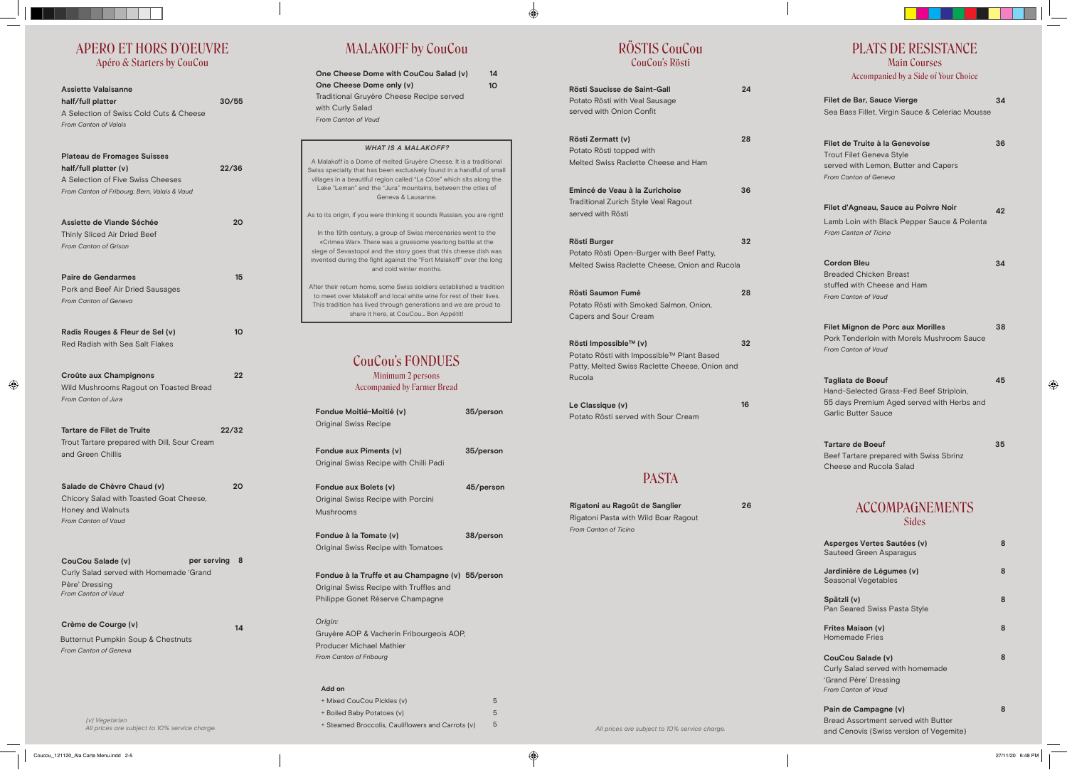### APERO ET HORS D'OEUVRE Apéro & Starters by CouCou

| <b>Assiette Valaisanne</b><br>half/full platter<br>A Selection of Swiss Cold Cuts & Cheese<br><b>From Canton of Valais</b>                       | 30/55 |
|--------------------------------------------------------------------------------------------------------------------------------------------------|-------|
| <b>Plateau de Fromages Suisses</b><br>half/full platter (v)<br>A Selection of Five Swiss Cheeses<br>From Canton of Fribourg, Bern, Valais & Vaud | 22/36 |
| Assiette de Viande Séchée<br>Thinly Sliced Air Dried Beef<br>From Canton of Grison                                                               | 20    |
| <b>Paire de Gendarmes</b><br>Pork and Beef Air Dried Sausages<br>From Canton of Geneva                                                           | 15    |
| Radis Rouges & Fleur de Sel (v)<br>Red Radish with Sea Salt Flakes                                                                               | 10    |
| Croûte aux Champignons<br>Wild Mushrooms Ragout on Toasted Bread<br>From Canton of Jura                                                          | 22    |
| <b>Tartare de Filet de Truite</b><br>Trout Tartare prepared with Dill, Sour Cream<br>and Green Chillis                                           | 22/32 |
| Salade de Chèvre Chaud (v)<br>Chicory Salad with Toasted Goat Cheese.<br>Honey and Walnuts<br><b>From Canton of Vaud</b>                         | 20    |
| CouCou Salade (v)<br>per serving<br>Curly Salad served with Homemade 'Grand<br>Père' Dressing<br><b>From Canton of Vaud</b>                      | 8     |
| Crème de Courge (v)<br>Butternut Pumpkin Soup & Chestnuts<br><b>From Canton of Geneva</b>                                                        | 14    |

| Rösti Saucisse de Saint-Gall<br>Potato Rösti with Veal Sausage<br>served with Onion Confit                                     | 24 |
|--------------------------------------------------------------------------------------------------------------------------------|----|
| Rösti Zermatt (v)<br>Potato Rösti topped with<br>Melted Swiss Raclette Cheese and Ham                                          | 28 |
| Emincé de Veau à la Zurichoise<br><b>Traditional Zurich Style Veal Ragout</b><br>served with Rösti                             | 36 |
| <b>Rösti Burger</b><br>Potato Rösti Open-Burger with Beef Patty,<br>Melted Swiss Raclette Cheese, Onion and Rucola             | 32 |
| <b>Rösti Saumon Fumé</b><br>Potato Rösti with Smoked Salmon, Onion,<br><b>Capers and Sour Cream</b>                            | 28 |
| Rösti Impossible™ (v)<br>Potato Rösti with Impossible™ Plant Based<br>Patty, Melted Swiss Raclette Cheese, Onion and<br>Rucola | 32 |
| Le Classique (v)<br>Potato Rösti served with Sour Cream                                                                        | 16 |
| <b>PASTA</b>                                                                                                                   |    |
| Rigatoni au Ragoût de Sanglier<br>Rigatoni Pasta with Wild Boar Ragout<br><b>From Canton of Ticino</b>                         | 26 |

| <b>WHAT IS A MALAKOFF?</b>                                                                                                                                                                                                                                                                               |
|----------------------------------------------------------------------------------------------------------------------------------------------------------------------------------------------------------------------------------------------------------------------------------------------------------|
| A Malakoff is a Dome of melted Gruyère Cheese. It is a traditional<br>Swiss specialty that has been exclusively found in a handful of small<br>villages in a beautiful region called "La Côte" which sits along the<br>Lake "Leman" and the "Jura" mountains, between the cities of<br>Geneva & Lausanne |
| As to its origin, if you were thinking it sounds Russian, you are right!                                                                                                                                                                                                                                 |
| In the 19th century, a group of Swiss mercenaries went to the<br>«Crimea War». There was a gruesome yearlong battle at the<br>siege of Sevastopol and the story goes that this cheese dish was<br>invented during the fight against the "Fort Malakoff" over the long<br>and cold winter months.         |
| After their return home, some Swiss soldiers established a tradition<br>to meet over Malakoff and local white wine for rest of their lives.<br>This tradition has lived through generations and we are proud to<br>share it here, at CouCou Bon Appétit!                                                 |
|                                                                                                                                                                                                                                                                                                          |

| <b>Filet de Bar, Sauce Vierge</b><br>Sea Bass Fillet, Virgin Sauce & Celeriac Mousse                                                            | 34 |
|-------------------------------------------------------------------------------------------------------------------------------------------------|----|
| Filet de Truite à la Genevoise<br><b>Trout Filet Geneva Style</b><br>served with Lemon, Butter and Capers<br><b>From Canton of Geneva</b>       | 36 |
| Filet d'Agneau, Sauce au Poivre Noir<br>Lamb Loin with Black Pepper Sauce & Polenta<br>From Canton of Ticino                                    | 42 |
| <b>Cordon Bleu</b><br><b>Breaded Chicken Breast</b><br>stuffed with Cheese and Ham<br>From Canton of Vaud                                       | 34 |
| <b>Filet Mignon de Porc aux Morilles</b><br>Pork Tenderloin with Morels Mushroom Sauce<br>From Canton of Vaud                                   | 38 |
| <b>Tagliata de Boeuf</b><br>Hand-Selected Grass-Fed Beef Striploin,<br>55 days Premium Aged served with Herbs and<br><b>Garlic Butter Sauce</b> | 45 |
| <b>Tartare de Boeuf</b><br>Beef Tartare prepared with Swiss Sbrinz<br>Cheese and Rucola Salad                                                   | 35 |
| <b>ACCOMPAGNEMENTS</b><br><b>Sides</b>                                                                                                          |    |
| Asperges Vertes Sautées (v)<br>Sauteed Green Asparagus                                                                                          | 8  |
| Jardinière de Légumes (v)<br>Seasonal Vegetables                                                                                                | 8  |
| Spätzli (v)<br>Pan Seared Swiss Pasta Style                                                                                                     | 8  |
| <b>Frites Maison (v)</b><br><b>Homemade Fries</b>                                                                                               | 8  |
| CouCou Salade (v)<br>Curly Salad served with homemade<br>'Grand Père' Dressing<br><b>From Canton of Vaud</b>                                    | 8  |
| Pain de Campagne (v)                                                                                                                            | 8  |

# MALAKOFF by CouCou

 **14 10**

| One Cheese Dome with CouCou Salad (v)    |
|------------------------------------------|
| One Cheese Dome only (v)                 |
| Traditional Gruyère Cheese Recipe served |
| with Curly Salad                         |
| From Canton of Vaud                      |

| Fondue Moitié-Moitié (v)<br>Original Swiss Recipe                               | 35/person |
|---------------------------------------------------------------------------------|-----------|
| Fondue aux Piments (v)<br>Original Swiss Recipe with Chilli Padi                | 35/person |
| Fondue aux Bolets (v)<br>Original Swiss Recipe with Porcini<br><b>Mushrooms</b> | 45/person |
| Fondue à la Tomate (v)<br>Original Swiss Recipe with Tomatoes                   | 38/person |

**55/person Fondue à la Truffe et au Champagne (v)** Original Swiss Recipe with Truffles and Philippe Gonet Réserve Champagne

*Origin:* Gruyère AOP & Vacherin Fribourgeois AO P, Producer Michael Mathier *From Canton of Fribourg*

#### **Add on**

| + Mixed CouCou Pickles (y)                        | 5 |
|---------------------------------------------------|---|
| + Boiled Baby Potatoes (v)                        |   |
| + Steamed Broccolis, Cauliflowers and Carrots (v) | 5 |

## CouCou's FONDUES

Minimum 2 person s Accompanied by Farmer Bread

## RÖSTIS CouCou CouCou's Rösti

## PLATS DE RESISTANCE Main Courses

Accompanied by a Side of Your Choice

#### **Pain de Campagne (v)**  Bread Assortment served with Butter and Cenovis (Swiss version of Vegemite)

(v) Vegetarian<br>All prices are subject to 10% service charge.